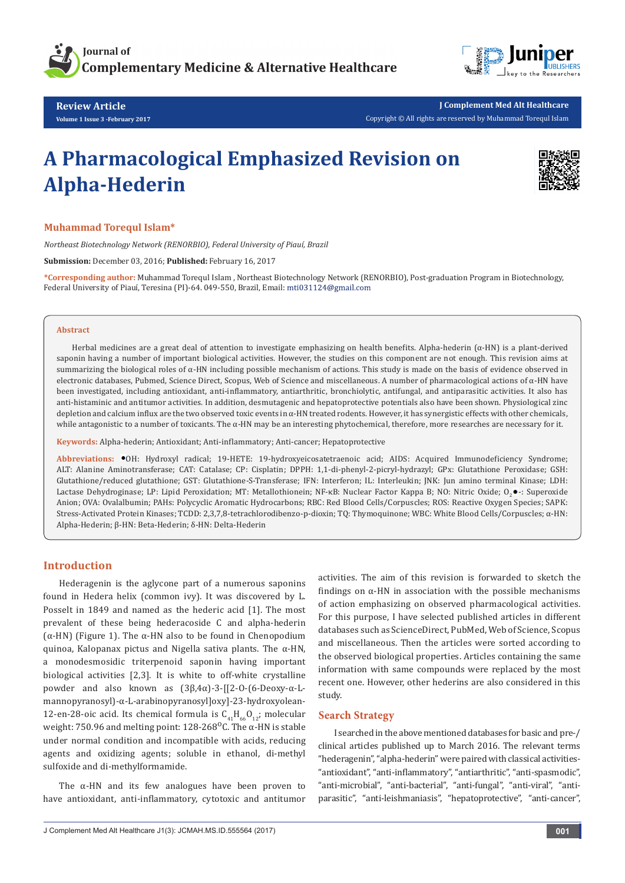



**Review Article Volume 1 Issue 3 -February 2017**

**J Complement Med Alt Healthcare** Copyright © All rights are reserved by Muhammad Torequl Islam

# **A Pharmacological Emphasized Revision on Alpha-Hederin**



## **Muhammad Torequl Islam\***

*Northeast Biotechnology Network (RENORBIO), Federal University of Piauí, Brazil*

**Submission:** December 03, 2016; **Published:** February 16, 2017

**\*Corresponding author:** Muhammad Torequl Islam , Northeast Biotechnology Network (RENORBIO), Post-graduation Program in Biotechnology, Federal University of Piauí, Teresina (PI)-64. 049-550, Brazil, Email:

#### **Abstract**

Herbal medicines are a great deal of attention to investigate emphasizing on health benefits. Alpha-hederin (α-HN) is a plant-derived saponin having a number of important biological activities. However, the studies on this component are not enough. This revision aims at summarizing the biological roles of  $\alpha$ -HN including possible mechanism of actions. This study is made on the basis of evidence observed in electronic databases, Pubmed, Science Direct, Scopus, Web of Science and miscellaneous. A number of pharmacological actions of α-HN have been investigated, including antioxidant, anti-inflammatory, antiarthritic, bronchiolytic, antifungal, and antiparasitic activities. It also has anti-histaminic and antitumor activities. In addition, desmutagenic and hepatoprotective potentials also have been shown. Physiological zinc depletion and calcium influx are the two observed toxic events in α-HN treated rodents. However, it has synergistic effects with other chemicals, while antagonistic to a number of toxicants. The  $\alpha$ -HN may be an interesting phytochemical, therefore, more researches are necessary for it.

**Keywords:** Alpha-hederin; Antioxidant; Anti-inflammatory; Anti-cancer; Hepatoprotective

**Abbreviations:** OH: Hydroxyl radical; 19-HETE: 19-hydroxyeicosatetraenoic acid; AIDS: Acquired Immunodeficiency Syndrome; ALT: Alanine Aminotransferase; CAT: Catalase; CP: Cisplatin; DPPH: 1,1-di-phenyl-2-picryl-hydrazyl; GPx: Glutathione Peroxidase; GSH: Glutathione/reduced glutathione; GST: Glutathione-S-Transferase; IFN: Interferon; IL: Interleukin; JNK: Jun amino terminal Kinase; LDH: Lactase Dehydroginase; LP: Lipid Peroxidation; MT: Metallothionein; NF-κB: Nuclear Factor Kappa B; NO: Nitric Oxide; O. .: Superoxide Anion; OVA: Ovalalbumin; PAHs: Polycyclic Aromatic Hydrocarbons; RBC: Red Blood Cells/Corpuscles; ROS: Reactive Oxygen Species; SAPK: Stress-Activated Protein Kinases; TCDD: 2,3,7,8-tetrachlorodibenzo-p-dioxin; TQ: Thymoquinone; WBC: White Blood Cells/Corpuscles; α-HN: Alpha-Hederin; β-HN: Beta-Hederin; δ-HN: Delta-Hederin

## **Introduction**

Hederagenin is the aglycone part of a numerous saponins found in Hedera helix (common ivy). It was discovered by L. Posselt in 1849 and named as the hederic acid [1]. The most prevalent of these being hederacoside C and alpha-hederin (α-HN) (Figure 1). The α-HN also to be found in Chenopodium quinoa, Kalopanax pictus and Nigella sativa plants. The α-HN, a monodesmosidic triterpenoid saponin having important biological activities [2,3]. It is white to off-white crystalline powder and also known as (3β,4α)-3-[[2-O-(6-Deoxy-α-Lmannopyranosyl)-α-L-arabinopyranosyl]oxy]-23-hydroxyolean-12-en-28-oic acid. Its chemical formula is  $C_{41}H_{66}O_{12}$ ; molecular weight: 750.96 and melting point:  $128-268^{\circ}$ C. The  $\alpha$ -HN is stable under normal condition and incompatible with acids, reducing agents and oxidizing agents; soluble in ethanol, di-methyl sulfoxide and di-methylformamide.

The  $\alpha$ -HN and its few analogues have been proven to have antioxidant, anti-inflammatory, cytotoxic and antitumor activities. The aim of this revision is forwarded to sketch the findings on  $\alpha$ -HN in association with the possible mechanisms of action emphasizing on observed pharmacological activities. For this purpose, I have selected published articles in different databases such as ScienceDirect, PubMed, Web of Science, Scopus and miscellaneous. Then the articles were sorted according to the observed biological properties. Articles containing the same information with same compounds were replaced by the most recent one. However, other hederins are also considered in this study.

## **Search Strategy**

I searched in the above mentioned databases for basic and pre-/ clinical articles published up to March 2016. The relevant terms "hederagenin", "alpha-hederin" were paired with classical activities- "antioxidant", "anti-inflammatory", "antiarthritic", "anti-spasmodic", "anti-microbial", "anti-bacterial", "anti-fungal", "anti-viral", "antiparasitic", "anti-leishmaniasis", "hepatoprotective", "anti-cancer",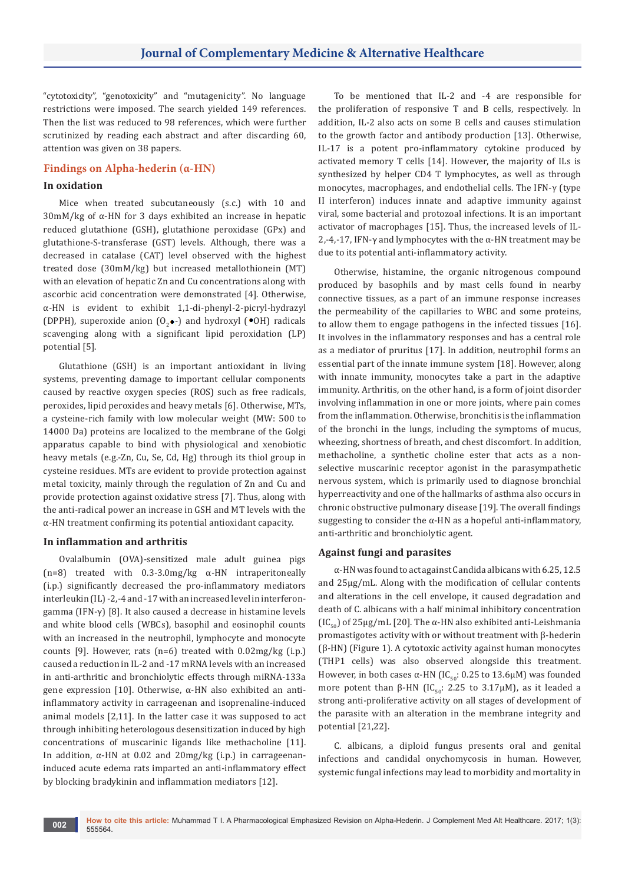"cytotoxicity", "genotoxicity" and "mutagenicity". No language restrictions were imposed. The search yielded 149 references. Then the list was reduced to 98 references, which were further scrutinized by reading each abstract and after discarding 60, attention was given on 38 papers.

## **Findings on Alpha-hederin (α-HN)**

## **In oxidation**

Mice when treated subcutaneously (s.c.) with 10 and 30mM/kg of α-HN for 3 days exhibited an increase in hepatic reduced glutathione (GSH), glutathione peroxidase (GPx) and glutathione-S-transferase (GST) levels. Although, there was a decreased in catalase (CAT) level observed with the highest treated dose (30mM/kg) but increased metallothionein (MT) with an elevation of hepatic Zn and Cu concentrations along with ascorbic acid concentration were demonstrated [4]. Otherwise, α-HN is evident to exhibit 1,1-di-phenyl-2-picryl-hydrazyl (DPPH), superoxide anion  $(0, \bullet)$  and hydroxyl  $(^\bullet OH)$  radicals scavenging along with a significant lipid peroxidation (LP) potential [5].

Glutathione (GSH) is an important antioxidant in living systems, preventing damage to important cellular components caused by reactive oxygen species (ROS) such as free radicals, peroxides, lipid peroxides and heavy metals [6]. Otherwise, MTs, a cysteine-rich family with low molecular weight (MW: 500 to 14000 Da) proteins are localized to the membrane of the Golgi apparatus capable to bind with physiological and xenobiotic heavy metals (e.g.-Zn, Cu, Se, Cd, Hg) through its thiol group in cysteine residues. MTs are evident to provide protection against metal toxicity, mainly through the regulation of Zn and Cu and provide protection against oxidative stress [7]. Thus, along with the anti-radical power an increase in GSH and MT levels with the α-HN treatment confirming its potential antioxidant capacity.

## **In inflammation and arthritis**

Ovalalbumin (OVA)-sensitized male adult guinea pigs (n=8) treated with  $0.3$ -3.0mg/kg  $\alpha$ -HN intraperitoneally (i.p.) significantly decreased the pro-inflammatory mediators interleukin (IL) -2,-4 and -17 with an increased level in interferongamma (IFN-γ) [8]. It also caused a decrease in histamine levels and white blood cells (WBCs), basophil and eosinophil counts with an increased in the neutrophil, lymphocyte and monocyte counts [9]. However, rats (n=6) treated with 0.02mg/kg (i.p.) caused a reduction in IL-2 and -17 mRNA levels with an increased in anti-arthritic and bronchiolytic effects through miRNA-133a gene expression [10]. Otherwise, α-HN also exhibited an antiinflammatory activity in carrageenan and isoprenaline-induced animal models [2,11]. In the latter case it was supposed to act through inhibiting heterologous desensitization induced by high concentrations of muscarinic ligands like methacholine [11]. In addition, α-HN at 0.02 and 20mg/kg (i.p.) in carrageenaninduced acute edema rats imparted an anti-inflammatory effect by blocking bradykinin and inflammation mediators [12].

To be mentioned that IL-2 and -4 are responsible for the proliferation of responsive T and B cells, respectively. In addition, IL-2 also acts on some B cells and causes stimulation to the growth factor and antibody production [13]. Otherwise, IL-17 is a potent pro-inflammatory cytokine produced by activated memory T cells [14]. However, the majority of ILs is synthesized by helper CD4 T lymphocytes, as well as through monocytes, macrophages, and endothelial cells. The IFN-γ (type II interferon) induces innate and adaptive immunity against viral, some bacterial and protozoal infections. It is an important activator of macrophages [15]. Thus, the increased levels of IL-2,-4,-17, IFN-γ and lymphocytes with the  $\alpha$ -HN treatment may be due to its potential anti-inflammatory activity.

Otherwise, histamine, the organic nitrogenous compound produced by basophils and by mast cells found in nearby connective tissues, as a part of an immune response increases the permeability of the capillaries to WBC and some proteins, to allow them to engage pathogens in the infected tissues [16]. It involves in the inflammatory responses and has a central role as a mediator of pruritus [17]. In addition, neutrophil forms an essential part of the innate immune system [18]. However, along with innate immunity, monocytes take a part in the adaptive immunity. Arthritis, on the other hand, is a form of joint disorder involving inflammation in one or more joints, where pain comes from the inflammation. Otherwise, bronchitis is the inflammation of the bronchi in the lungs, including the symptoms of mucus, wheezing, shortness of breath, and chest discomfort. In addition, methacholine, a synthetic choline ester that acts as a nonselective muscarinic receptor agonist in the parasympathetic nervous system, which is primarily used to diagnose bronchial hyperreactivity and one of the hallmarks of asthma also occurs in chronic obstructive pulmonary disease [19]. The overall findings suggesting to consider the α-HN as a hopeful anti-inflammatory, anti-arthritic and bronchiolytic agent.

#### **Against fungi and parasites**

α-HN was found to act against Candida albicans with 6.25, 12.5 and 25µg/mL. Along with the modification of cellular contents and alterations in the cell envelope, it caused degradation and death of C. albicans with a half minimal inhibitory concentration (IC<sub>50</sub>) of 25µg/mL [20]. The  $\alpha$ -HN also exhibited anti-Leishmania promastigotes activity with or without treatment with β-hederin (β-HN) (Figure 1). A cytotoxic activity against human monocytes (THP1 cells) was also observed alongside this treatment. However, in both cases α-HN (IC<sub>50</sub>: 0.25 to 13.6μM) was founded more potent than β-HN (IC<sub>50</sub>: 2.25 to 3.17μM), as it leaded a strong anti-proliferative activity on all stages of development of the parasite with an alteration in the membrane integrity and potential [21,22].

C. albicans, a diploid fungus presents oral and genital infections and candidal onychomycosis in human. However, systemic fungal infections may lead to morbidity and mortality in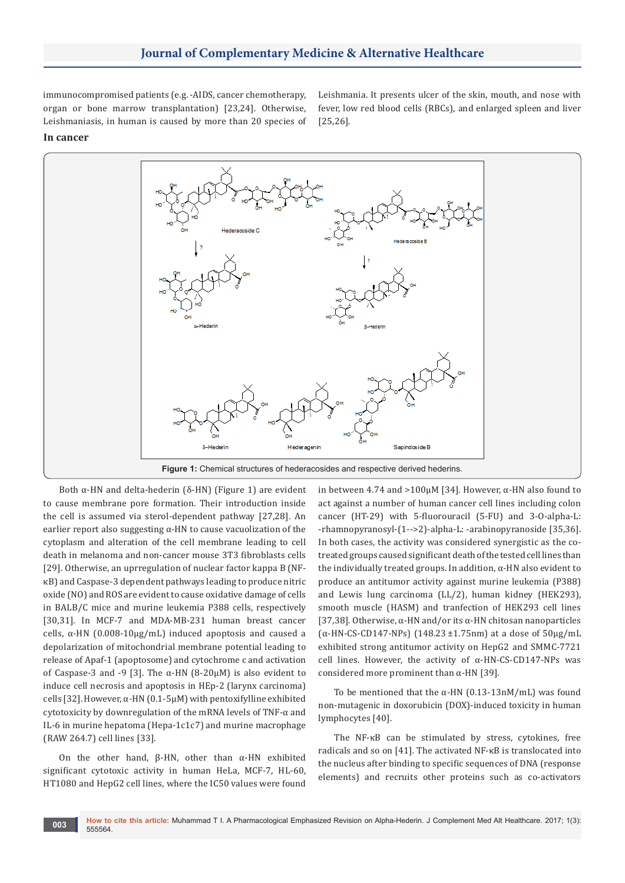immunocompromised patients (e.g. -AIDS, cancer chemotherapy, organ or bone marrow transplantation) [23,24]. Otherwise, Leishmaniasis, in human is caused by more than 20 species of Leishmania. It presents ulcer of the skin, mouth, and nose with fever, low red blood cells (RBCs), and enlarged spleen and liver [25,26].

## **In cancer**



Both  $α$ -HN and delta-hederin (δ-HN) (Figure 1) are evident to cause membrane pore formation. Their introduction inside the cell is assumed via sterol-dependent pathway [27,28]. An earlier report also suggesting  $\alpha$ -HN to cause vacuolization of the cytoplasm and alteration of the cell membrane leading to cell death in melanoma and non-cancer mouse 3T3 fibroblasts cells [29]. Otherwise, an uprregulation of nuclear factor kappa B (NFκB) and Caspase-3 dependent pathways leading to produce nitric oxide (NO) and ROS are evident to cause oxidative damage of cells in BALB/C mice and murine leukemia P388 cells, respectively [30,31]. In MCF-7 and MDA-MB-231 human breast cancer cells, α-HN (0.008-10µg/mL) induced apoptosis and caused a depolarization of mitochondrial membrane potential leading to release of Apaf-1 (apoptosome) and cytochrome c and activation of Caspase-3 and -9 [3]. The  $\alpha$ -HN (8-20 $\mu$ M) is also evident to induce cell necrosis and apoptosis in HEp-2 (larynx carcinoma) cells [32]. However, α-HN (0.1-5µM) with pentoxifylline exhibited cytotoxicity by downregulation of the mRNA levels of TNF-α and IL-6 in murine hepatoma (Hepa-1c1c7) and murine macrophage (RAW 264.7) cell lines [33].

On the other hand, β-HN, other than α-HN exhibited significant cytotoxic activity in human HeLa, MCF-7, HL-60, HT1080 and HepG2 cell lines, where the IC50 values were found

in between 4.74 and  $>$ 100μM [34]. However, α-HN also found to act against a number of human cancer cell lines including colon cancer (HT-29) with 5-fluorouracil (5-FU) and 3-O-alpha-L: -rhamnopyranosyl-(1-->2)-alpha-L: -arabinopyranoside [35,36]. In both cases, the activity was considered synergistic as the cotreated groups caused significant death of the tested cell lines than the individually treated groups. In addition, α-HN also evident to produce an antitumor activity against murine leukemia (P388) and Lewis lung carcinoma (LL/2), human kidney (HEK293), smooth muscle (HASM) and tranfection of HEK293 cell lines [37,38]. Otherwise, α-HN and/or its α-HN chitosan nanoparticles (α-HN-CS-CD147-NPs) (148.23 ±1.75nm) at a dose of 50μg/mL exhibited strong antitumor activity on HepG2 and SMMC-7721 cell lines. However, the activity of  $\alpha$ -HN-CS-CD147-NPs was considered more prominent than α-HN [39].

To be mentioned that the α-HN (0.13-13nM/mL) was found non-mutagenic in doxorubicin (DOX)-induced toxicity in human lymphocytes [40].

The NF-κB can be stimulated by stress, cytokines, free radicals and so on [41]. The activated NF-κB is translocated into the nucleus after binding to specific sequences of DNA (response elements) and recruits other proteins such as co-activators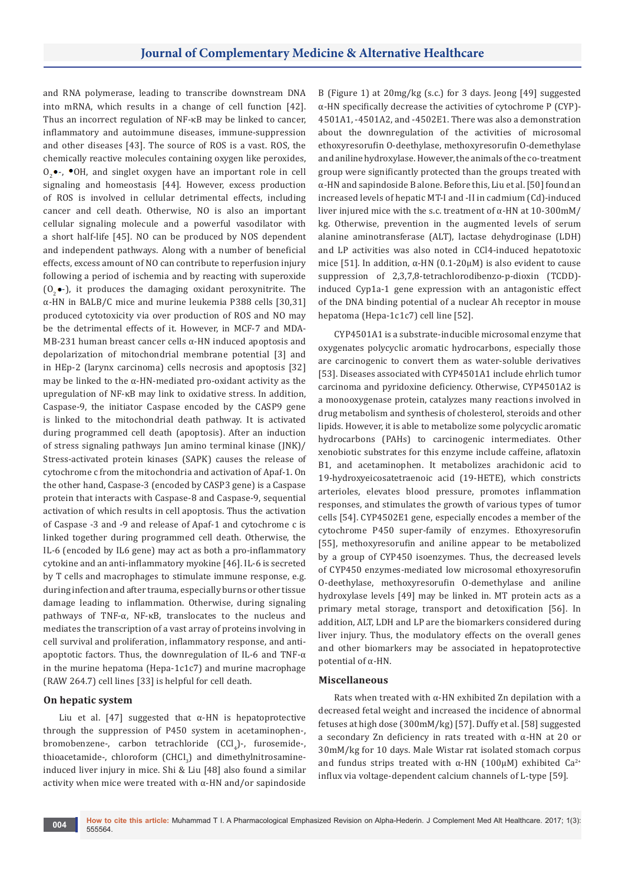and RNA polymerase, leading to transcribe downstream DNA into mRNA, which results in a change of cell function [42]. Thus an incorrect regulation of NF-κB may be linked to cancer, inflammatory and autoimmune diseases, immune-suppression and other diseases [43]. The source of ROS is a vast. ROS, the chemically reactive molecules containing oxygen like peroxides,  $O_2$  -,  $\bullet$  OH, and singlet oxygen have an important role in cell signaling and homeostasis [44]. However, excess production of ROS is involved in cellular detrimental effects, including cancer and cell death. Otherwise, NO is also an important cellular signaling molecule and a powerful vasodilator with a short half-life [45]. NO can be produced by NOS dependent and independent pathways. Along with a number of beneficial effects, excess amount of NO can contribute to reperfusion injury following a period of ischemia and by reacting with superoxide  $(0, \bullet)$ , it produces the damaging oxidant peroxynitrite. The α-HN in BALB/C mice and murine leukemia P388 cells [30,31] produced cytotoxicity via over production of ROS and NO may be the detrimental effects of it. However, in MCF-7 and MDA-MB-231 human breast cancer cells α-HN induced apoptosis and depolarization of mitochondrial membrane potential [3] and in HEp-2 (larynx carcinoma) cells necrosis and apoptosis [32] may be linked to the  $\alpha$ -HN-mediated pro-oxidant activity as the upregulation of NF-κB may link to oxidative stress. In addition, Caspase-9, the initiator Caspase encoded by the CASP9 gene is linked to the mitochondrial death pathway. It is activated during programmed cell death (apoptosis). After an induction of stress signaling pathways Jun amino terminal kinase (JNK)/ Stress-activated protein kinases (SAPK) causes the release of cytochrome c from the mitochondria and activation of Apaf-1. On the other hand, Caspase-3 (encoded by CASP3 gene) is a Caspase protein that interacts with Caspase-8 and Caspase-9, sequential activation of which results in cell apoptosis. Thus the activation of Caspase -3 and -9 and release of Apaf-1 and cytochrome c is linked together during programmed cell death. Otherwise, the IL-6 (encoded by IL6 gene) may act as both a pro-inflammatory cytokine and an anti-inflammatory myokine [46]. IL-6 is secreted by T cells and macrophages to stimulate immune response, e.g. during infection and after trauma, especially burns or other tissue damage leading to inflammation. Otherwise, during signaling pathways of TNF-α, NF-κB, translocates to the nucleus and mediates the transcription of a vast array of proteins involving in cell survival and proliferation, inflammatory response, and antiapoptotic factors. Thus, the downregulation of IL-6 and TNF-α in the murine hepatoma (Hepa-1c1c7) and murine macrophage (RAW 264.7) cell lines [33] is helpful for cell death.

## **On hepatic system**

Liu et al. [47] suggested that  $α$ -HN is hepatoprotective through the suppression of P450 system in acetaminophen-, bromobenzene-, carbon tetrachloride (CCl<sub>4</sub>)-, furosemide-, thioacetamide-, chloroform (CHCl<sub>3</sub>) and dimethylnitrosamineinduced liver injury in mice. Shi & Liu [48] also found a similar activity when mice were treated with α-HN and/or sapindoside

B (Figure 1) at 20mg/kg (s.c.) for 3 days. Jeong [49] suggested α-HN specifically decrease the activities of cytochrome P (CYP)- 4501A1, -4501A2, and -4502E1. There was also a demonstration about the downregulation of the activities of microsomal ethoxyresorufin O-deethylase, methoxyresorufin O-demethylase and aniline hydroxylase. However, the animals of the co-treatment group were significantly protected than the groups treated with α-HN and sapindoside B alone. Before this, Liu et al. [50] found an increased levels of hepatic MT-I and -II in cadmium (Cd)-induced liver injured mice with the s.c. treatment of α-HN at 10-300mM/ kg. Otherwise, prevention in the augmented levels of serum alanine aminotransferase (ALT), lactase dehydroginase (LDH) and LP activities was also noted in CCl4-induced hepatotoxic mice [51]. In addition, α-HN (0.1-20μM) is also evident to cause suppression of 2,3,7,8-tetrachlorodibenzo-p-dioxin (TCDD) induced Cyp1a-1 gene expression with an antagonistic effect of the DNA binding potential of a nuclear Ah receptor in mouse hepatoma (Hepa-1c1c7) cell line [52].

CYP4501A1 is a substrate-inducible microsomal enzyme that oxygenates polycyclic aromatic hydrocarbons, especially those are carcinogenic to convert them as water-soluble derivatives [53]. Diseases associated with CYP4501A1 include ehrlich tumor carcinoma and pyridoxine deficiency. Otherwise, CYP4501A2 is a monooxygenase protein, catalyzes many reactions involved in drug metabolism and synthesis of cholesterol, steroids and other lipids. However, it is able to metabolize some polycyclic aromatic hydrocarbons (PAHs) to carcinogenic intermediates. Other xenobiotic substrates for this enzyme include caffeine, aflatoxin B1, and acetaminophen. It metabolizes arachidonic acid to 19-hydroxyeicosatetraenoic acid (19-HETE), which constricts arterioles, elevates blood pressure, promotes inflammation responses, and stimulates the growth of various types of tumor cells [54]. CYP4502E1 gene, especially encodes a member of the cytochrome P450 super-family of enzymes. Ethoxyresorufin [55], methoxyresorufin and aniline appear to be metabolized by a group of CYP450 isoenzymes. Thus, the decreased levels of CYP450 enzymes-mediated low microsomal ethoxyresorufin O-deethylase, methoxyresorufin O-demethylase and aniline hydroxylase levels [49] may be linked in. MT protein acts as a primary metal storage, transport and detoxification [56]. In addition, ALT, LDH and LP are the biomarkers considered during liver injury. Thus, the modulatory effects on the overall genes and other biomarkers may be associated in hepatoprotective potential of α-HN.

## **Miscellaneous**

Rats when treated with α-HN exhibited Zn depilation with a decreased fetal weight and increased the incidence of abnormal fetuses at high dose (300mM/kg) [57]. Duffy et al. [58] suggested a secondary Zn deficiency in rats treated with α-HN at 20 or 30mM/kg for 10 days. Male Wistar rat isolated stomach corpus and fundus strips treated with α-HN (100μM) exhibited  $Ca^{2+}$ influx via voltage-dependent calcium channels of L-type [59].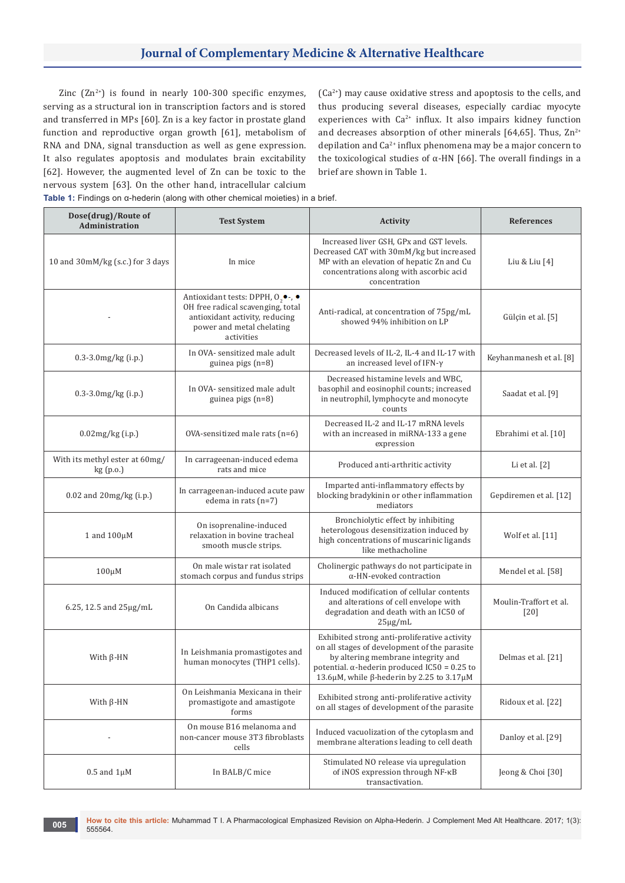Zinc  $(Zn^{2+})$  is found in nearly 100-300 specific enzymes, serving as a structural ion in transcription factors and is stored and transferred in MPs [60]. Zn is a key factor in prostate gland function and reproductive organ growth [61], metabolism of RNA and DNA, signal transduction as well as gene expression. It also regulates apoptosis and modulates brain excitability [62]. However, the augmented level of Zn can be toxic to the nervous system [63]. On the other hand, intracellular calcium

 $(Ca<sup>2+</sup>)$  may cause oxidative stress and apoptosis to the cells, and thus producing several diseases, especially cardiac myocyte experiences with Ca<sup>2+</sup> influx. It also impairs kidney function and decreases absorption of other minerals [64,65]. Thus,  $\text{Zn}^{2+}$ depilation and  $Ca^{2+}$  influx phenomena may be a major concern to the toxicological studies of α-HN  $[66]$ . The overall findings in a brief are shown in Table 1.

**Table 1:** Findings on α-hederin (along with other chemical moieties) in a brief.

| Dose(drug)/Route of<br>Administration      | <b>Test System</b>                                                                                                                                                    | <b>Activity</b>                                                                                                                                                                                                                         | <b>References</b>                |
|--------------------------------------------|-----------------------------------------------------------------------------------------------------------------------------------------------------------------------|-----------------------------------------------------------------------------------------------------------------------------------------------------------------------------------------------------------------------------------------|----------------------------------|
| 10 and 30mM/kg (s.c.) for 3 days           | In mice                                                                                                                                                               | Increased liver GSH, GPx and GST levels.<br>Decreased CAT with 30mM/kg but increased<br>MP with an elevation of hepatic Zn and Cu<br>concentrations along with ascorbic acid<br>concentration                                           | Liu & Liu [4]                    |
|                                            | Antioxidant tests: DPPH, $O_2 \bullet$ -, $\bullet$<br>OH free radical scavenging, total<br>antioxidant activity, reducing<br>power and metal chelating<br>activities | Anti-radical, at concentration of 75pg/mL<br>showed 94% inhibition on LP                                                                                                                                                                | Gülçin et al. [5]                |
| 0.3-3.0mg/kg (i.p.)                        | In OVA- sensitized male adult<br>guinea pigs $(n=8)$                                                                                                                  | Decreased levels of IL-2, IL-4 and IL-17 with<br>an increased level of IFN- $\gamma$                                                                                                                                                    | Keyhanmanesh et al. [8]          |
| $0.3 - 3.0$ mg/kg $(i.p.)$                 | In OVA- sensitized male adult<br>guinea pigs $(n=8)$                                                                                                                  | Decreased histamine levels and WBC,<br>basophil and eosinophil counts; increased<br>in neutrophil, lymphocyte and monocyte<br>counts                                                                                                    | Saadat et al. [9]                |
| $0.02$ mg/kg $(i.p.)$                      | OVA-sensitized male rats (n=6)                                                                                                                                        | Decreased IL-2 and IL-17 mRNA levels<br>with an increased in miRNA-133 a gene<br>expression                                                                                                                                             | Ebrahimi et al. [10]             |
| With its methyl ester at 60mg/<br>kg(p.o.) | In carrageenan-induced edema<br>rats and mice                                                                                                                         | Produced anti-arthritic activity                                                                                                                                                                                                        | Li et al. [2]                    |
| 0.02 and 20mg/kg (i.p.)                    | In carrageenan-induced acute paw<br>edema in rats $(n=7)$                                                                                                             | Imparted anti-inflammatory effects by<br>blocking bradykinin or other inflammation<br>mediators                                                                                                                                         | Gepdiremen et al. [12]           |
| 1 and $100\mu$ M                           | On isoprenaline-induced<br>relaxation in bovine tracheal<br>smooth muscle strips.                                                                                     | Bronchiolytic effect by inhibiting<br>heterologous desensitization induced by<br>high concentrations of muscarinic ligands<br>like methacholine                                                                                         | Wolf et al. [11]                 |
| $100 \mu M$                                | On male wistar rat isolated<br>stomach corpus and fundus strips                                                                                                       | Cholinergic pathways do not participate in<br>$\alpha$ -HN-evoked contraction                                                                                                                                                           | Mendel et al. [58]               |
| 6.25, 12.5 and $25\mu g/mL$                | On Candida albicans                                                                                                                                                   | Induced modification of cellular contents<br>and alterations of cell envelope with<br>degradation and death with an IC50 of<br>$25\mu g/mL$                                                                                             | Moulin-Traffort et al.<br>$[20]$ |
| With $\beta$ -HN                           | In Leishmania promastigotes and<br>human monocytes (THP1 cells).                                                                                                      | Exhibited strong anti-proliferative activity<br>on all stages of development of the parasite<br>by altering membrane integrity and<br>potential. $\alpha$ -hederin produced IC50 = 0.25 to<br>13.6μM, while β-hederin by 2.25 to 3.17μM | Delmas et al. [21]               |
| With $\beta$ -HN                           | On Leishmania Mexicana in their<br>promastigote and amastigote<br>forms                                                                                               | Exhibited strong anti-proliferative activity<br>on all stages of development of the parasite                                                                                                                                            | Ridoux et al. [22]               |
|                                            | On mouse B16 melanoma and<br>non-cancer mouse 3T3 fibroblasts<br>cells                                                                                                | Induced vacuolization of the cytoplasm and<br>membrane alterations leading to cell death                                                                                                                                                | Danloy et al. [29]               |
| $0.5$ and $1\mu$ M                         | In BALB/C mice                                                                                                                                                        | Stimulated NO release via upregulation<br>of iNOS expression through NF-KB<br>transactivation.                                                                                                                                          | Jeong & Choi [30]                |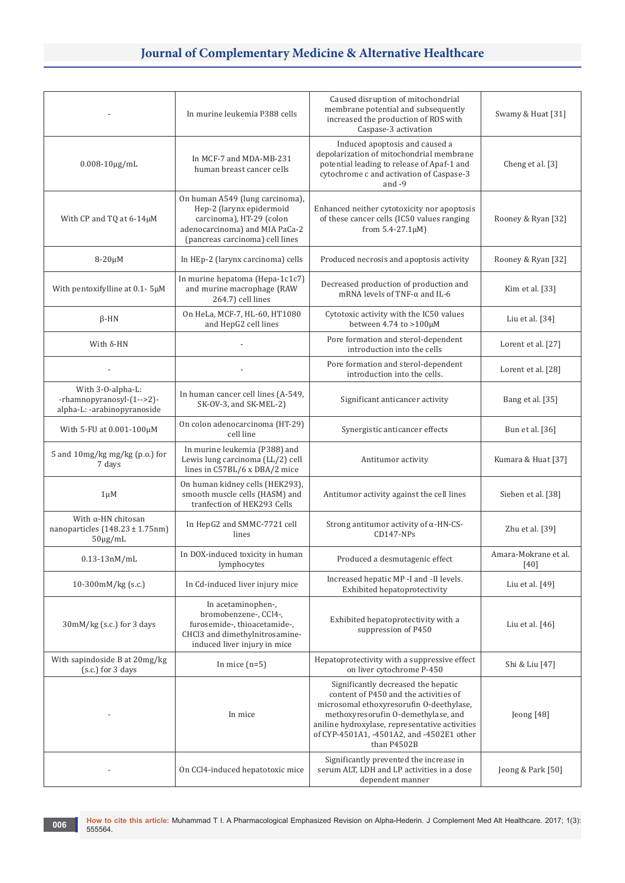|                                                                                   | In murine leukemia P388 cells                                                                                                                                | Caused disruption of mitochondrial<br>membrane potential and subsequently<br>increased the production of ROS with<br>Caspase-3 activation                                                                                                                                     | Swamy & Huat [31]              |
|-----------------------------------------------------------------------------------|--------------------------------------------------------------------------------------------------------------------------------------------------------------|-------------------------------------------------------------------------------------------------------------------------------------------------------------------------------------------------------------------------------------------------------------------------------|--------------------------------|
| $0.008 - 10 \mu g/mL$                                                             | In MCF-7 and MDA-MB-231<br>human breast cancer cells                                                                                                         | Induced apoptosis and caused a<br>depolarization of mitochondrial membrane<br>potential leading to release of Apaf-1 and<br>cytochrome c and activation of Caspase-3<br>and $-9$                                                                                              | Cheng et al. [3]               |
| With CP and TQ at 6-14µM                                                          | On human A549 (lung carcinoma),<br>Hep-2 (larynx epidermoid<br>carcinoma), HT-29 (colon<br>adenocarcinoma) and MIA PaCa-2<br>(pancreas carcinoma) cell lines | Enhanced neither cytotoxicity nor apoptosis<br>of these cancer cells (IC50 values ranging<br>from $5.4 - 27.1 \mu M$ )                                                                                                                                                        | Rooney & Ryan [32]             |
| $8-20\mu M$                                                                       | In HEp-2 (larynx carcinoma) cells                                                                                                                            | Produced necrosis and apoptosis activity                                                                                                                                                                                                                                      | Rooney & Ryan [32]             |
| With pentoxifylline at 0.1-5µM                                                    | In murine hepatoma (Hepa-1c1c7)<br>and murine macrophage (RAW<br>264.7) cell lines                                                                           | Decreased production of production and<br>mRNA levels of TNF- $\alpha$ and IL-6                                                                                                                                                                                               | Kim et al. [33]                |
| $\beta$ -HN                                                                       | On HeLa, MCF-7, HL-60, HT1080<br>and HepG2 cell lines                                                                                                        | Cytotoxic activity with the IC50 values<br>between 4.74 to $>100\mu$ M                                                                                                                                                                                                        | Liu et al. $[34]$              |
| With $\delta$ -HN                                                                 |                                                                                                                                                              | Pore formation and sterol-dependent<br>introduction into the cells                                                                                                                                                                                                            | Lorent et al. [27]             |
|                                                                                   |                                                                                                                                                              | Pore formation and sterol-dependent<br>introduction into the cells.                                                                                                                                                                                                           | Lorent et al. [28]             |
| With 3-O-alpha-L:<br>-rhamnopyranosyl-(1-->2)-<br>alpha-L: -arabinopyranoside     | In human cancer cell lines (A-549,<br>SK-OV-3, and SK-MEL-2)                                                                                                 | Significant anticancer activity                                                                                                                                                                                                                                               | Bang et al. [35]               |
| With 5-FU at 0.001-100µM                                                          | On colon adenocarcinoma (HT-29)<br>cell line                                                                                                                 | Synergistic anticancer effects                                                                                                                                                                                                                                                | Bun et al. [36]                |
| 5 and 10mg/kg mg/kg (p.o.) for<br>7 days                                          | In murine leukemia (P388) and<br>Lewis lung carcinoma (LL/2) cell<br>lines in C57BL/6 x DBA/2 mice                                                           | Antitumor activity                                                                                                                                                                                                                                                            | Kumara & Huat [37]             |
| $1 \mu M$                                                                         | On human kidney cells (HEK293),<br>smooth muscle cells (HASM) and<br>tranfection of HEK293 Cells                                                             | Antitumor activity against the cell lines                                                                                                                                                                                                                                     | Sieben et al. [38]             |
| With $\alpha$ -HN chitosan<br>nanoparticles $(148.23 \pm 1.75nm)$<br>$50\mu g/mL$ | In HepG2 and SMMC-7721 cell<br>lines                                                                                                                         | Strong antitumor activity of $\alpha$ -HN-CS-<br>$CD147-NPs$                                                                                                                                                                                                                  | Zhu et al. [39]                |
| $0.13 - 13nM/mL$                                                                  | In DOX-induced toxicity in human<br>lymphocytes                                                                                                              | Produced a desmutagenic effect                                                                                                                                                                                                                                                | Amara-Mokrane et al.<br>$[40]$ |
| $10-300$ m $M/kg$ (s.c.)                                                          | In Cd-induced liver injury mice                                                                                                                              | Increased hepatic MP -I and -II levels.<br>Exhibited hepatoprotectivity                                                                                                                                                                                                       | Liu et al. [49]                |
| $30mM/kg$ (s.c.) for 3 days                                                       | In acetaminophen-,<br>bromobenzene-, CCl4-,<br>furosemide-, thioacetamide-,<br>CHCl3 and dimethylnitrosamine-<br>induced liver injury in mice                | Exhibited hepatoprotectivity with a<br>suppression of P450                                                                                                                                                                                                                    | Liu et al. [46]                |
| With sapindoside B at 20mg/kg<br>(s.c.) for 3 days                                | In mice $(n=5)$                                                                                                                                              | Hepatoprotectivity with a suppressive effect<br>on liver cytochrome P-450                                                                                                                                                                                                     | Shi & Liu [47]                 |
|                                                                                   | In mice                                                                                                                                                      | Significantly decreased the hepatic<br>content of P450 and the activities of<br>microsomal ethoxyresorufin O-deethylase,<br>methoxyresorufin O-demethylase, and<br>aniline hydroxylase, representative activities<br>of CYP-4501A1, -4501A2, and -4502E1 other<br>than P4502B | Jeong [48]                     |
|                                                                                   | On CCl4-induced hepatotoxic mice                                                                                                                             | Significantly prevented the increase in<br>serum ALT, LDH and LP activities in a dose<br>dependent manner                                                                                                                                                                     | Jeong & Park [50]              |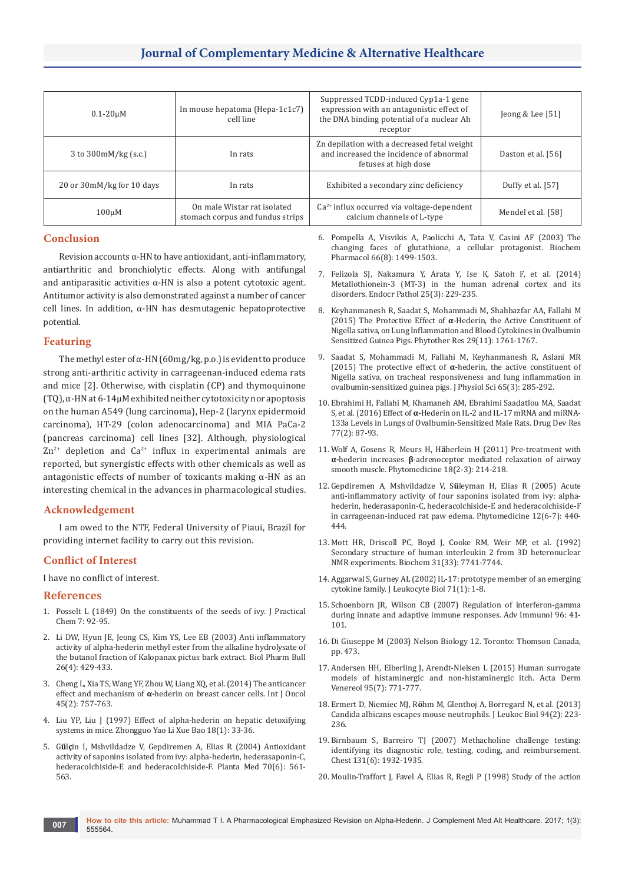| $0.1 - 20$ uM                  | In mouse hepatoma (Hepa-1c1c7)<br>cell line                     | Suppressed TCDD-induced Cyp1a-1 gene<br>expression with an antagonistic effect of<br>the DNA binding potential of a nuclear Ah<br>receptor | Jeong & Lee $[51]$  |
|--------------------------------|-----------------------------------------------------------------|--------------------------------------------------------------------------------------------------------------------------------------------|---------------------|
| 3 to $300 \text{mM/kg}$ (s.c.) | In rats                                                         | Zn depilation with a decreased fetal weight<br>and increased the incidence of abnormal<br>fetuses at high dose                             | Daston et al. [56]  |
| 20 or 30mM/kg for 10 days      | In rats                                                         | Exhibited a secondary zinc deficiency                                                                                                      | Duffy et al. $[57]$ |
| $100 \mu M$                    | On male Wistar rat isolated<br>stomach corpus and fundus strips | $Ca2+$ influx occurred via voltage-dependent<br>calcium channels of L-type                                                                 | Mendel et al. [58]  |

## **Conclusion**

Revision accounts α-HN to have antioxidant, anti-inflammatory, antiarthritic and bronchiolytic effects. Along with antifungal and antiparasitic activities  $\alpha$ -HN is also a potent cytotoxic agent. Antitumor activity is also demonstrated against a number of cancer cell lines. In addition, α-HN has desmutagenic hepatoprotective potential.

## **Featuring**

The methyl ester of  $\alpha$ -HN (60mg/kg, p.o.) is evident to produce strong anti-arthritic activity in carrageenan-induced edema rats and mice [2]. Otherwise, with cisplatin (CP) and thymoquinone (TQ), α-HN at 6-14µM exhibited neither cytotoxicity nor apoptosis on the human A549 (lung carcinoma), Hep-2 (larynx epidermoid carcinoma), HT-29 (colon adenocarcinoma) and MIA PaCa-2 (pancreas carcinoma) cell lines [32]. Although, physiological  $Zn^{2+}$  depletion and  $Ca^{2+}$  influx in experimental animals are reported, but synergistic effects with other chemicals as well as antagonistic effects of number of toxicants making  $\alpha$ -HN as an interesting chemical in the advances in pharmacological studies.

## **Acknowledgement**

I am owed to the NTF, Federal University of Piaui, Brazil for providing internet facility to carry out this revision.

## **Conflict of Interest**

I have no conflict of interest.

## **References**

- 1. Posselt L (1849) On the constituents of the seeds of ivy. J Practical Chem 7: 92-95.
- 2. [Li DW, Hyun JE, Jeong CS, Kim YS, Lee EB \(2003\) Anti inflammatory](https://www.ncbi.nlm.nih.gov/pubmed/12673020)  [activity of alpha-hederin methyl ester from the alkaline hydrolysate of](https://www.ncbi.nlm.nih.gov/pubmed/12673020)  [the butanol fraction of Kalopanax pictus bark extract. Biol Pharm Bull](https://www.ncbi.nlm.nih.gov/pubmed/12673020)  [26\(4\): 429-433.](https://www.ncbi.nlm.nih.gov/pubmed/12673020)
- 3. [Cheng L, Xia TS, Wang YF, Zhou W, Liang XQ, et al. \(2014\) The anticancer](https://www.ncbi.nlm.nih.gov/pubmed/24842044)  effect and mechanism of **α-**[hederin on breast cancer cells. Int J Oncol](https://www.ncbi.nlm.nih.gov/pubmed/24842044)  [45\(2\): 757-763.](https://www.ncbi.nlm.nih.gov/pubmed/24842044)
- 4. [Liu YP, Liu J \(1997\) Effect of alpha-hederin on hepatic detoxifying](https://www.ncbi.nlm.nih.gov/pubmed/10072890)  [systems in mice. Zhongguo Yao Li Xue Bao 18\(1\): 33-36.](https://www.ncbi.nlm.nih.gov/pubmed/10072890)
- 5. G**ü**l**ç**[in I, Mshvildadze V, Gepdiremen A, Elias R \(2004\) Antioxidant](https://www.ncbi.nlm.nih.gov/pubmed/15241892)  [activity of saponins isolated from ivy: alpha-hederin, hederasaponin-C,](https://www.ncbi.nlm.nih.gov/pubmed/15241892)  [hederacolchiside-E and hederacolchiside-F. Planta Med 70\(6\): 561-](https://www.ncbi.nlm.nih.gov/pubmed/15241892) [563.](https://www.ncbi.nlm.nih.gov/pubmed/15241892)
- 6. [Pompella A, Visvikis A, Paolicchi A, Tata V, Casini AF \(2003\) The](https://www.ncbi.nlm.nih.gov/pubmed/14555227)  [changing faces of glutathione, a cellular protagonist. Biochem](https://www.ncbi.nlm.nih.gov/pubmed/14555227)  [Pharmacol 66\(8\): 1499-1503.](https://www.ncbi.nlm.nih.gov/pubmed/14555227)
- 7. [Felizola SJ, Nakamura Y, Arata Y, Ise K, Satoh F, et al. \(2014\)](https://www.ncbi.nlm.nih.gov/pubmed/24242700)  [Metallothionein-3 \(MT-3\) in the human adrenal cortex and its](https://www.ncbi.nlm.nih.gov/pubmed/24242700)  [disorders. Endocr Pathol 25\(3\): 229-235.](https://www.ncbi.nlm.nih.gov/pubmed/24242700)
- 8. [Keyhanmanesh R, Saadat S, Mohammadi M, Shahbazfar AA, Fallahi M](https://www.ncbi.nlm.nih.gov/pubmed/26292851)  (2015) The Protective Effect of **α**[-Hederin, the Active Constituent of](https://www.ncbi.nlm.nih.gov/pubmed/26292851)  [Nigella sativa, on Lung Inflammation and Blood Cytokines in Ovalbumin](https://www.ncbi.nlm.nih.gov/pubmed/26292851)  [Sensitized Guinea Pigs. Phytother Res 29\(11\): 1761-1767.](https://www.ncbi.nlm.nih.gov/pubmed/26292851)
- 9. [Saadat S, Mohammadi M, Fallahi M, Keyhanmanesh R, Aslani MR](https://www.ncbi.nlm.nih.gov/pubmed/25752254)  (2015) The protective effect of **α-**[hederin, the active constituent of](https://www.ncbi.nlm.nih.gov/pubmed/25752254)  [Nigella sativa, on tracheal responsiveness and lung inflammation in](https://www.ncbi.nlm.nih.gov/pubmed/25752254)  [ovalbumin-sensitized guinea pigs. J Physiol Sci 65\(3\): 285-292.](https://www.ncbi.nlm.nih.gov/pubmed/25752254)
- 10. [Ebrahimi H, Fallahi M, Khamaneh AM, Ebrahimi Saadatlou MA, Saadat](https://www.ncbi.nlm.nih.gov/pubmed/26865286)  S, et al. (2016) Effect of **α-**[Hederin on IL-2 and IL-17 mRNA and miRNA-](https://www.ncbi.nlm.nih.gov/pubmed/26865286)[133a Levels in Lungs of Ovalbumin-Sensitized Male Rats. Drug Dev Res](https://www.ncbi.nlm.nih.gov/pubmed/26865286)  [77\(2\): 87-93.](https://www.ncbi.nlm.nih.gov/pubmed/26865286)
- 11. Wolf A, Gosens R, Meurs H, H**ä**[berlein H \(2011\) Pre-treatment with](https://www.ncbi.nlm.nih.gov/pubmed/20637581)  **α-**hederin increases **β**[-adrenoceptor mediated relaxation of airway](https://www.ncbi.nlm.nih.gov/pubmed/20637581)  [smooth muscle. Phytomedicine 18\(2-3\): 214-218.](https://www.ncbi.nlm.nih.gov/pubmed/20637581)
- 12. Gepdiremen A, Mshvildadze V, S**ü**[leyman H, Elias R \(2005\) Acute](https://www.ncbi.nlm.nih.gov/pubmed/16008120)  [anti-inflammatory activity of four saponins isolated from ivy: alpha](https://www.ncbi.nlm.nih.gov/pubmed/16008120)[hederin, hederasaponin-C, hederacolchiside-E and hederacolchiside-F](https://www.ncbi.nlm.nih.gov/pubmed/16008120)  [in carrageenan-induced rat paw edema. Phytomedicine 12\(6-7\): 440-](https://www.ncbi.nlm.nih.gov/pubmed/16008120) [444.](https://www.ncbi.nlm.nih.gov/pubmed/16008120)
- 13. [Mott HR, Driscoll PC, Boyd J, Cooke RM, Weir MP, et al. \(1992\)](https://www.ncbi.nlm.nih.gov/pubmed/1510960)  [Secondary structure of human interleukin 2 from 3D heteronuclear](https://www.ncbi.nlm.nih.gov/pubmed/1510960)  [NMR experiments. Biochem 31\(33\): 7741-7744.](https://www.ncbi.nlm.nih.gov/pubmed/1510960)
- 14. [Aggarwal S, Gurney AL \(2002\) IL-17: prototype member of an emerging](https://www.ncbi.nlm.nih.gov/pubmed/11781375)  [cytokine family. J Leukocyte Biol 71\(1\): 1-8.](https://www.ncbi.nlm.nih.gov/pubmed/11781375)
- 15. [Schoenborn JR, Wilson CB \(2007\) Regulation of interferon-gamma](https://www.ncbi.nlm.nih.gov/pubmed/17981204)  [during innate and adaptive immune responses. Adv Immunol 96: 41-](https://www.ncbi.nlm.nih.gov/pubmed/17981204) [101.](https://www.ncbi.nlm.nih.gov/pubmed/17981204)
- 16. Di Giuseppe M (2003) Nelson Biology 12. Toronto: Thomson Canada, pp. 473.
- 17. [Andersen HH, Elberling J, Arendt-Nielsen L \(2015\) Human surrogate](https://www.ncbi.nlm.nih.gov/pubmed/26015312)  [models of histaminergic and non-histaminergic itch. Acta Derm](https://www.ncbi.nlm.nih.gov/pubmed/26015312)  [Venereol 95\(7\): 771-777.](https://www.ncbi.nlm.nih.gov/pubmed/26015312)
- 18. Ermert D, Niemiec MJ, R**ö**[hm M, Glenthoj A, Borregard N, et al. \(2013\)](https://www.ncbi.nlm.nih.gov/pubmed/23650619)  [Candida albicans escapes mouse neutrophils. J Leukoc Biol 94\(2\): 223-](https://www.ncbi.nlm.nih.gov/pubmed/23650619) [236.](https://www.ncbi.nlm.nih.gov/pubmed/23650619)
- 19. [Birnbaum S, Barreiro TJ \(2007\) Methacholine challenge testing:](https://www.ncbi.nlm.nih.gov/pubmed/17565027)  [identifying its diagnostic role, testing, coding, and reimbursement.](https://www.ncbi.nlm.nih.gov/pubmed/17565027)  [Chest 131\(6\): 1932-1935.](https://www.ncbi.nlm.nih.gov/pubmed/17565027)
- 20. [Moulin-Traffort J, Favel A, Elias R, Regli P \(1998\) Study of the action](https://www.ncbi.nlm.nih.gov/pubmed/9916465)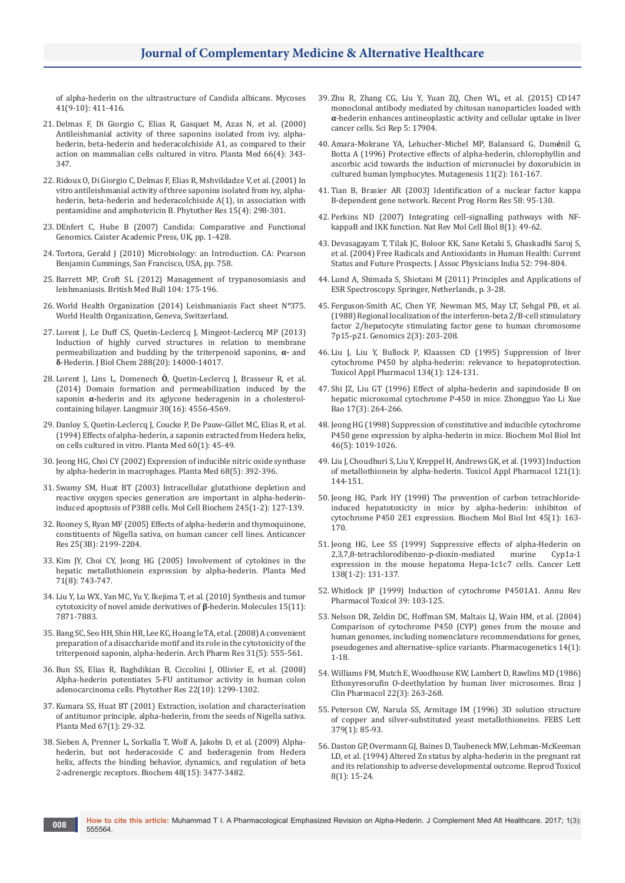[of alpha-hederin on the ultrastructure of Candida albicans. Mycoses](https://www.ncbi.nlm.nih.gov/pubmed/9916465)  [41\(9-10\): 411-416.](https://www.ncbi.nlm.nih.gov/pubmed/9916465)

- 21. [Delmas F, Di Giorgio C, Elias R, Gasquet M, Azas N, et al. \(2000\)](https://www.ncbi.nlm.nih.gov/pubmed/10865451)  [Antileishmanial activity of three saponins isolated from ivy, alpha](https://www.ncbi.nlm.nih.gov/pubmed/10865451)[hederin, beta-hederin and hederacolchiside A1, as compared to their](https://www.ncbi.nlm.nih.gov/pubmed/10865451)  [action on mammalian cells cultured in vitro. Planta Med 66\(4\): 343-](https://www.ncbi.nlm.nih.gov/pubmed/10865451) [347.](https://www.ncbi.nlm.nih.gov/pubmed/10865451)
- 22. [Ridoux O, Di Giorgio C, Delmas F, Elias R, Mshvildadze V, et al. \(2001\) In](https://www.ncbi.nlm.nih.gov/pubmed/11406851)  [vitro antileishmanial activity of three saponins isolated from ivy, alpha](https://www.ncbi.nlm.nih.gov/pubmed/11406851)[hederin, beta-hederin and hederacolchiside A\(1\), in association with](https://www.ncbi.nlm.nih.gov/pubmed/11406851)  [pentamidine and amphotericin B. Phytother Res 15\(4\): 298-301.](https://www.ncbi.nlm.nih.gov/pubmed/11406851)
- 23. DEnfert C, Hube B (2007) Candida: Comparative and Functional Genomics. Caister Academic Press, UK, pp. 1-428.
- 24. Tortora, Gerald J (2010) Microbiology: an Introduction. CA: Pearson Benjamin Cummings, San Francisco, USA, pp. 758.
- 25. [Barrett MP, Croft SL \(2012\) Management of trypanosomiasis and](https://www.ncbi.nlm.nih.gov/pubmed/23137768)  [leishmaniasis. British Med Bull 104: 175-196.](https://www.ncbi.nlm.nih.gov/pubmed/23137768)
- 26. World Health Organization (2014) Leishmaniasis Fact sheet N*°*375. World Health Organization, Geneva, Switzerland.
- 27. [Lorent J, Le Duff CS, Quetin-Leclercq J, Mingeot-Leclercq MP \(2013\)](https://www.ncbi.nlm.nih.gov/pubmed/23530040)  [Induction of highly curved structures in relation to membrane](https://www.ncbi.nlm.nih.gov/pubmed/23530040)  [permeabilization and budding by the triterpenoid saponins,](https://www.ncbi.nlm.nih.gov/pubmed/23530040) **α-** and **δ**[-Hederin. J Biol Chem 288\(20\): 14000-14017.](https://www.ncbi.nlm.nih.gov/pubmed/23530040)
- 28. Lorent J, Lins L, Domenech **Ò**[, Quetin-Leclercq J, Brasseur R, et al.](https://www.ncbi.nlm.nih.gov/pubmed/24690040)  [\(2014\) Domain formation and permeabilization induced by the](https://www.ncbi.nlm.nih.gov/pubmed/24690040)  saponin **α-**[hederin and its aglycone hederagenin in a cholesterol](https://www.ncbi.nlm.nih.gov/pubmed/24690040)[containing bilayer. Langmuir 30\(16\): 4556-4569.](https://www.ncbi.nlm.nih.gov/pubmed/24690040)
- 29. [Danloy S, Quetin-Leclercq J, Coucke P, De Pauw-Gillet MC, Elias R, et al.](https://www.ncbi.nlm.nih.gov/pubmed/8134416)  [\(1994\) Effects of alpha-hederin, a saponin extracted from Hedera helix,](https://www.ncbi.nlm.nih.gov/pubmed/8134416)  [on cells cultured in vitro. Planta Med 60\(1\): 45-49.](https://www.ncbi.nlm.nih.gov/pubmed/8134416)
- 30. [Jeong HG, Choi CY \(2002\) Expression of inducible nitric oxide synthase](https://www.ncbi.nlm.nih.gov/pubmed/12058312)  [by alpha-hederin in macrophages. Planta Med 68\(5\): 392-396.](https://www.ncbi.nlm.nih.gov/pubmed/12058312)
- 31. [Swamy SM, Huat BT \(2003\) Intracellular glutathione depletion and](https://www.ncbi.nlm.nih.gov/pubmed/12708752)  [reactive oxygen species generation are important in alpha-hederin](https://www.ncbi.nlm.nih.gov/pubmed/12708752)[induced apoptosis of P388 cells. Mol Cell Biochem 245\(1-2\): 127-139.](https://www.ncbi.nlm.nih.gov/pubmed/12708752)
- 32. [Rooney S, Ryan MF \(2005\) Effects of alpha-hederin and thymoquinone,](https://www.ncbi.nlm.nih.gov/pubmed/16158964)  [constituents of Nigella sativa, on human cancer cell lines. Anticancer](https://www.ncbi.nlm.nih.gov/pubmed/16158964)  [Res 25\(3B\): 2199-2204.](https://www.ncbi.nlm.nih.gov/pubmed/16158964)
- 33. [Kim JY, Choi CY, Jeong HG \(2005\) Involvement of cytokines in the](https://www.ncbi.nlm.nih.gov/pubmed/16142639)  [hepatic metallothionein expression by alpha-hederin. Planta Med](https://www.ncbi.nlm.nih.gov/pubmed/16142639)  [71\(8\): 743-747.](https://www.ncbi.nlm.nih.gov/pubmed/16142639)
- 34. [Liu Y, Lu WX, Yan MC, Yu Y, Ikejima T, et al. \(2010\) Synthesis and tumor](https://www.ncbi.nlm.nih.gov/pubmed/21060295)  [cytotoxicity of novel amide derivatives of](https://www.ncbi.nlm.nih.gov/pubmed/21060295) **β**-hederin. Molecules 15(11): [7871-7883.](https://www.ncbi.nlm.nih.gov/pubmed/21060295)
- 35. [Bang SC, Seo HH, Shin HR, Lee KC, Hoang le TA, et al. \(2008\) A convenient](https://www.ncbi.nlm.nih.gov/pubmed/18481008)  [preparation of a disaccharide motif and its role in the cytotoxicity of the](https://www.ncbi.nlm.nih.gov/pubmed/18481008)  [triterpenoid saponin, alpha-hederin. Arch Pharm Res 31\(5\): 555-561.](https://www.ncbi.nlm.nih.gov/pubmed/18481008)
- 36. [Bun SS, Elias R, Baghdikian B, Ciccolini J, Ollivier E, et al. \(2008\)](https://www.ncbi.nlm.nih.gov/pubmed/18546204)  [Alpha-hederin potentiates 5-FU antitumor activity in human colon](https://www.ncbi.nlm.nih.gov/pubmed/18546204)  [adenocarcinoma cells. Phytother Res 22\(10\): 1299-1302.](https://www.ncbi.nlm.nih.gov/pubmed/18546204)
- 37. [Kumara SS, Huat BT \(2001\) Extraction, isolation and characterisation](https://www.ncbi.nlm.nih.gov/pubmed/11270717)  [of antitumor principle, alpha-hederin, from the seeds of Nigella sativa.](https://www.ncbi.nlm.nih.gov/pubmed/11270717)  [Planta Med 67\(1\): 29-32.](https://www.ncbi.nlm.nih.gov/pubmed/11270717)
- 38. [Sieben A, Prenner L, Sorkalla T, Wolf A, Jakobs D, et al. \(2009\) Alpha](https://www.ncbi.nlm.nih.gov/pubmed/19278262)[hederin, but not hederacoside C and hederagenin from Hedera](https://www.ncbi.nlm.nih.gov/pubmed/19278262)  [helix, affects the binding behavior, dynamics, and regulation of beta](https://www.ncbi.nlm.nih.gov/pubmed/19278262)  [2-adrenergic receptors. Biochem 48\(15\): 3477-3482.](https://www.ncbi.nlm.nih.gov/pubmed/19278262)
- 39. [Zhu R, Zhang CG, Liu Y, Yuan ZQ, Chen WL, et al. \(2015\) CD147](https://www.ncbi.nlm.nih.gov/pubmed/26639052)  [monoclonal antibody mediated by chitosan nanoparticles loaded with](https://www.ncbi.nlm.nih.gov/pubmed/26639052)  **α**[-hederin enhances antineoplastic activity and cellular uptake in liver](https://www.ncbi.nlm.nih.gov/pubmed/26639052)  [cancer cells. Sci Rep 5: 17904.](https://www.ncbi.nlm.nih.gov/pubmed/26639052)
- 40. [Amara-Mokrane YA, Lehucher-Michel MP, Balansard G, Dum](https://www.ncbi.nlm.nih.gov/pubmed/8671733)**é**nil G, [Botta A \(1996\) Protective effects of alpha-hederin, chlorophyllin and](https://www.ncbi.nlm.nih.gov/pubmed/8671733)  [ascorbic acid towards the induction of micronuclei by doxorubicin in](https://www.ncbi.nlm.nih.gov/pubmed/8671733)  [cultured human lymphocytes. Mutagenesis 11\(2\): 161-167.](https://www.ncbi.nlm.nih.gov/pubmed/8671733)
- 41. [Tian B, Brasier AR \(2003\) Identification of a nuclear factor kappa](https://www.ncbi.nlm.nih.gov/pubmed/12795416)  [B-dependent gene network. Recent Prog Horm Res 58: 95-130.](https://www.ncbi.nlm.nih.gov/pubmed/12795416)
- 42. [Perkins ND \(2007\) Integrating cell-signalling pathways with NF](https://www.ncbi.nlm.nih.gov/pubmed/17183360)[kappaB and IKK function. Nat Rev Mol Cell Biol 8\(1\): 49-62.](https://www.ncbi.nlm.nih.gov/pubmed/17183360)
- 43. [Devasagayam T, Tilak JC, Boloor KK, Sane Ketaki S, Ghaskadbi Saroj S,](https://www.ncbi.nlm.nih.gov/pubmed/15909857)  [et al. \(2004\) Free Radicals and Antioxidants in Human Health: Current](https://www.ncbi.nlm.nih.gov/pubmed/15909857)  [Status and Future Prospects. J Assoc Physicians India 52: 794-804.](https://www.ncbi.nlm.nih.gov/pubmed/15909857)
- 44. Lund A, Shimada S, Shiotani M (2011) Principles and Applications of ESR Spectroscopy. Springer, Netherlands, p. 3-28.
- 45. [Ferguson-Smith AC, Chen YF, Newman MS, May LT, Sehgal PB, et al.](https://www.ncbi.nlm.nih.gov/pubmed/3294161)  [\(1988\) Regional localization of the interferon-beta 2/B-cell stimulatory](https://www.ncbi.nlm.nih.gov/pubmed/3294161)  [factor 2/hepatocyte stimulating factor gene to human chromosome](https://www.ncbi.nlm.nih.gov/pubmed/3294161)  [7p15-p21. Genomics 2\(3\): 203-208.](https://www.ncbi.nlm.nih.gov/pubmed/3294161)
- 46. [Liu J, Liu Y, Bullock P, Klaassen CD \(1995\) Suppression of liver](https://www.ncbi.nlm.nih.gov/pubmed/7676446)  [cytochrome P450 by alpha-hederin: relevance to hepatoprotection.](https://www.ncbi.nlm.nih.gov/pubmed/7676446)  [Toxicol Appl Pharmacol 134\(1\): 124-131.](https://www.ncbi.nlm.nih.gov/pubmed/7676446)
- 47. [Shi JZ, Liu GT \(1996\) Effect of alpha-hederin and sapindoside B on](https://www.ncbi.nlm.nih.gov/pubmed/9812754)  [hepatic microsomal cytochrome P-450 in mice. Zhongguo Yao Li Xue](https://www.ncbi.nlm.nih.gov/pubmed/9812754)  [Bao 17\(3\): 264-266.](https://www.ncbi.nlm.nih.gov/pubmed/9812754)
- 48. [Jeong HG \(1998\) Suppression of constitutive and inducible cytochrome](https://www.ncbi.nlm.nih.gov/pubmed/9861456)  [P450 gene expression by alpha-hederin in mice. Biochem Mol Biol Int](https://www.ncbi.nlm.nih.gov/pubmed/9861456)  [46\(5\): 1019-1026.](https://www.ncbi.nlm.nih.gov/pubmed/9861456)
- 49. [Liu J, Choudhuri S, Liu Y, Kreppel H, Andrews GK, et al. \(1993\) Induction](https://www.ncbi.nlm.nih.gov/pubmed/8337695)  [of metallothionein by alpha-hederin. Toxicol Appl Pharmacol 121\(1\):](https://www.ncbi.nlm.nih.gov/pubmed/8337695)  [144-151.](https://www.ncbi.nlm.nih.gov/pubmed/8337695)
- 50. [Jeong HG, Park HY \(1998\) The prevention of carbon tetrachloride](https://www.ncbi.nlm.nih.gov/pubmed/9635140)[induced hepatotoxicity in mice by alpha-hederin: inhibiton of](https://www.ncbi.nlm.nih.gov/pubmed/9635140)  [cytochrome P450 2E1 expression. Biochem Mol Biol Int 45\(1\): 163-](https://www.ncbi.nlm.nih.gov/pubmed/9635140) [170.](https://www.ncbi.nlm.nih.gov/pubmed/9635140)
- 51. [Jeong HG, Lee SS \(1999\) Suppressive effects of alpha-Hederin on](https://www.ncbi.nlm.nih.gov/pubmed/10378784) 2,3,7,8-tetrachlorodibenzo-p-dioxin-mediated murine Cyp1a-1 2,3,7,8-tetrachlorodibenzo-p-dioxin-mediated [expression in the mouse hepatoma Hepa-1c1c7 cells. Cancer Lett](https://www.ncbi.nlm.nih.gov/pubmed/10378784)  [138\(1-2\): 131-137.](https://www.ncbi.nlm.nih.gov/pubmed/10378784)
- 52. [Whitlock JP \(1999\) Induction of cytochrome P4501A1. Annu Rev](https://www.ncbi.nlm.nih.gov/pubmed/10331078)  [Pharmacol Toxicol 39: 103-125.](https://www.ncbi.nlm.nih.gov/pubmed/10331078)
- 53. [Nelson DR, Zeldin DC, Hoffman SM, Maltais LJ, Wain HM, et al. \(2004\)](https://www.ncbi.nlm.nih.gov/pubmed/15128046)  [Comparison of cytochrome P450 \(CYP\) genes from the mouse and](https://www.ncbi.nlm.nih.gov/pubmed/15128046)  [human genomes, including nomenclature recommendations for genes,](https://www.ncbi.nlm.nih.gov/pubmed/15128046)  [pseudogenes and alternative-splice variants. Pharmacogenetics 14\(1\):](https://www.ncbi.nlm.nih.gov/pubmed/15128046)  [1-18.](https://www.ncbi.nlm.nih.gov/pubmed/15128046)
- 54. [Williams FM, Mutch E, Woodhouse KW, Lambert D, Rawlins MD \(1986\)](https://www.ncbi.nlm.nih.gov/pubmed/3768238)  [Ethoxyresorufin O-deethylation by human liver microsomes. Braz J](https://www.ncbi.nlm.nih.gov/pubmed/3768238)  [Clin Pharmacol 22\(3\): 263-268.](https://www.ncbi.nlm.nih.gov/pubmed/3768238)
- 55. [Peterson CW, Narula SS, Armitage IM \(1996\) 3D solution structure](https://www.ncbi.nlm.nih.gov/pubmed/8566237)  [of copper and silver-substituted yeast metallothioneins. FEBS Lett](https://www.ncbi.nlm.nih.gov/pubmed/8566237)  [379\(1\): 85-93.](https://www.ncbi.nlm.nih.gov/pubmed/8566237)
- 56. [Daston GP, Overmann GJ, Baines D, Taubeneck MW, Lehman-McKeeman](https://www.ncbi.nlm.nih.gov/pubmed/8186620)  [LD, et al. \(1994\) Altered Zn status by alpha-hederin in the pregnant rat](https://www.ncbi.nlm.nih.gov/pubmed/8186620)  [and its relationship to adverse developmental outcome. Reprod Toxicol](https://www.ncbi.nlm.nih.gov/pubmed/8186620)  [8\(1\): 15-24.](https://www.ncbi.nlm.nih.gov/pubmed/8186620)